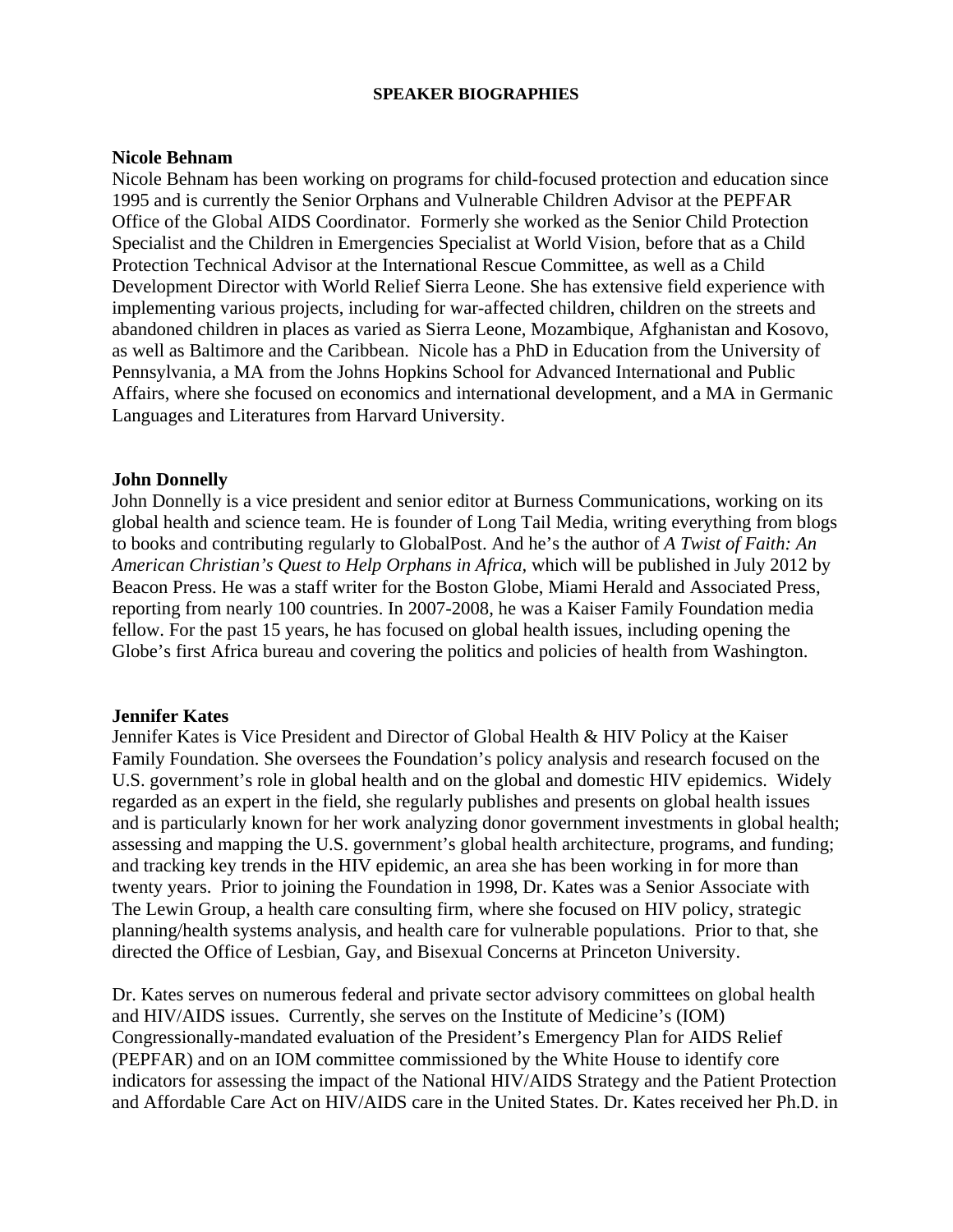### **SPEAKER BIOGRAPHIES**

#### **Nicole Behnam**

Nicole Behnam has been working on programs for child-focused protection and education since 1995 and is currently the Senior Orphans and Vulnerable Children Advisor at the PEPFAR Office of the Global AIDS Coordinator. Formerly she worked as the Senior Child Protection Specialist and the Children in Emergencies Specialist at World Vision, before that as a Child Protection Technical Advisor at the International Rescue Committee, as well as a Child Development Director with World Relief Sierra Leone. She has extensive field experience with implementing various projects, including for war-affected children, children on the streets and abandoned children in places as varied as Sierra Leone, Mozambique, Afghanistan and Kosovo, as well as Baltimore and the Caribbean. Nicole has a PhD in Education from the University of Pennsylvania, a MA from the Johns Hopkins School for Advanced International and Public Affairs, where she focused on economics and international development, and a MA in Germanic Languages and Literatures from Harvard University.

## **John Donnelly**

John Donnelly is a vice president and senior editor at Burness Communications, working on its global health and science team. He is founder of Long Tail Media, writing everything from blogs to books and contributing regularly to GlobalPost. And he's the author of *A Twist of Faith: An American Christian's Quest to Help Orphans in Africa,* which will be published in July 2012 by Beacon Press. He was a staff writer for the Boston Globe, Miami Herald and Associated Press, reporting from nearly 100 countries. In 2007-2008, he was a Kaiser Family Foundation media fellow. For the past 15 years, he has focused on global health issues, including opening the Globe's first Africa bureau and covering the politics and policies of health from Washington.

#### **Jennifer Kates**

Jennifer Kates is Vice President and Director of Global Health & HIV Policy at the Kaiser Family Foundation. She oversees the Foundation's policy analysis and research focused on the U.S. government's role in global health and on the global and domestic HIV epidemics. Widely regarded as an expert in the field, she regularly publishes and presents on global health issues and is particularly known for her work analyzing donor government investments in global health; assessing and mapping the U.S. government's global health architecture, programs, and funding; and tracking key trends in the HIV epidemic, an area she has been working in for more than twenty years. Prior to joining the Foundation in 1998, Dr. Kates was a Senior Associate with The Lewin Group, a health care consulting firm, where she focused on HIV policy, strategic planning/health systems analysis, and health care for vulnerable populations. Prior to that, she directed the Office of Lesbian, Gay, and Bisexual Concerns at Princeton University.

Dr. Kates serves on numerous federal and private sector advisory committees on global health and HIV/AIDS issues. Currently, she serves on the Institute of Medicine's (IOM) Congressionally-mandated evaluation of the President's Emergency Plan for AIDS Relief (PEPFAR) and on an IOM committee commissioned by the White House to identify core indicators for assessing the impact of the National HIV/AIDS Strategy and the Patient Protection and Affordable Care Act on HIV/AIDS care in the United States. Dr. Kates received her Ph.D. in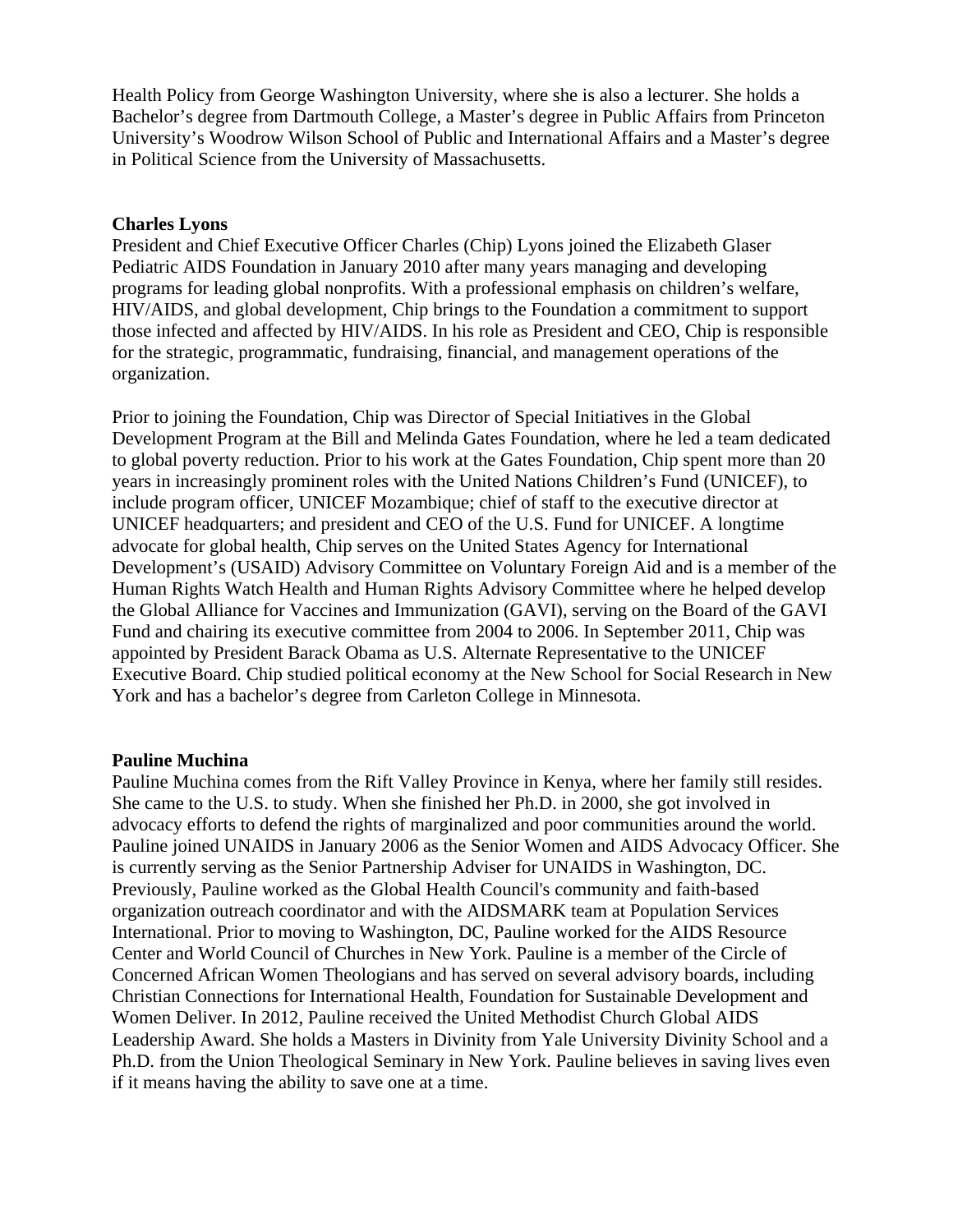Health Policy from George Washington University, where she is also a lecturer. She holds a Bachelor's degree from Dartmouth College, a Master's degree in Public Affairs from Princeton University's Woodrow Wilson School of Public and International Affairs and a Master's degree in Political Science from the University of Massachusetts.

## **Charles Lyons**

President and Chief Executive Officer Charles (Chip) Lyons joined the Elizabeth Glaser Pediatric AIDS Foundation in January 2010 after many years managing and developing programs for leading global nonprofits. With a professional emphasis on children's welfare, HIV/AIDS, and global development, Chip brings to the Foundation a commitment to support those infected and affected by HIV/AIDS. In his role as President and CEO, Chip is responsible for the strategic, programmatic, fundraising, financial, and management operations of the organization.

Prior to joining the Foundation, Chip was Director of Special Initiatives in the Global Development Program at the Bill and Melinda Gates Foundation, where he led a team dedicated to global poverty reduction. Prior to his work at the Gates Foundation, Chip spent more than 20 years in increasingly prominent roles with the United Nations Children's Fund (UNICEF), to include program officer, UNICEF Mozambique; chief of staff to the executive director at UNICEF headquarters; and president and CEO of the U.S. Fund for UNICEF. A longtime advocate for global health, Chip serves on the United States Agency for International Development's (USAID) Advisory Committee on Voluntary Foreign Aid and is a member of the Human Rights Watch Health and Human Rights Advisory Committee where he helped develop the Global Alliance for Vaccines and Immunization (GAVI), serving on the Board of the GAVI Fund and chairing its executive committee from 2004 to 2006. In September 2011, Chip was appointed by President Barack Obama as U.S. Alternate Representative to the UNICEF Executive Board. Chip studied political economy at the New School for Social Research in New York and has a bachelor's degree from Carleton College in Minnesota.

#### **Pauline Muchina**

Pauline Muchina comes from the Rift Valley Province in Kenya, where her family still resides. She came to the U.S. to study. When she finished her Ph.D. in 2000, she got involved in advocacy efforts to defend the rights of marginalized and poor communities around the world. Pauline joined UNAIDS in January 2006 as the Senior Women and AIDS Advocacy Officer. She is currently serving as the Senior Partnership Adviser for UNAIDS in Washington, DC. Previously, Pauline worked as the Global Health Council's community and faith-based organization outreach coordinator and with the AIDSMARK team at Population Services International. Prior to moving to Washington, DC, Pauline worked for the AIDS Resource Center and World Council of Churches in New York. Pauline is a member of the Circle of Concerned African Women Theologians and has served on several advisory boards, including Christian Connections for International Health, Foundation for Sustainable Development and Women Deliver. In 2012, Pauline received the United Methodist Church Global AIDS Leadership Award. She holds a Masters in Divinity from Yale University Divinity School and a Ph.D. from the Union Theological Seminary in New York. Pauline believes in saving lives even if it means having the ability to save one at a time.